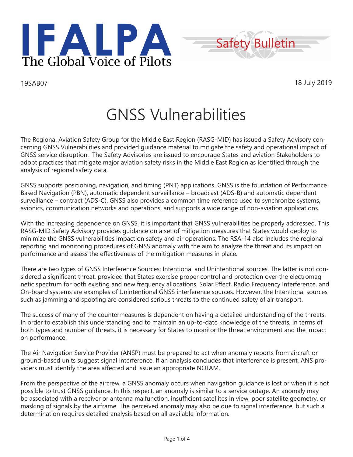



# GNSS Vulnerabilities

The Regional Aviation Safety Group for the Middle East Region (RASG-MID) has issued a Safety Advisory concerning GNSS Vulnerabilities and provided guidance material to mitigate the safety and operational impact of GNSS service disruption. The Safety Advisories are issued to encourage States and aviation Stakeholders to adopt practices that mitigate major aviation safety risks in the Middle East Region as identified through the analysis of regional safety data.

GNSS supports positioning, navigation, and timing (PNT) applications. GNSS is the foundation of Performance Based Navigation (PBN), automatic dependent surveillance – broadcast (ADS-B) and automatic dependent surveillance – contract (ADS-C). GNSS also provides a common time reference used to synchronize systems, avionics, communication networks and operations, and supports a wide range of non-aviation applications.

With the increasing dependence on GNSS, it is important that GNSS vulnerabilities be properly addressed. This RASG-MID Safety Advisory provides guidance on a set of mitigation measures that States would deploy to minimize the GNSS vulnerabilities impact on safety and air operations. The RSA-14 also includes the regional reporting and monitoring procedures of GNSS anomaly with the aim to analyze the threat and its impact on performance and assess the effectiveness of the mitigation measures in place.

There are two types of GNSS Interference Sources; Intentional and Unintentional sources. The latter is not considered a significant threat, provided that States exercise proper control and protection over the electromagnetic spectrum for both existing and new frequency allocations. Solar Effect, Radio Frequency Interference, and On-board systems are examples of Unintentional GNSS interference sources. However, the Intentional sources such as jamming and spoofing are considered serious threats to the continued safety of air transport.

The success of many of the countermeasures is dependent on having a detailed understanding of the threats. In order to establish this understanding and to maintain an up-to-date knowledge of the threats, in terms of both types and number of threats, it is necessary for States to monitor the threat environment and the impact on performance.

The Air Navigation Service Provider (ANSP) must be prepared to act when anomaly reports from aircraft or ground-based units suggest signal interference. If an analysis concludes that interference is present, ANS providers must identify the area affected and issue an appropriate NOTAM.

From the perspective of the aircrew, a GNSS anomaly occurs when navigation guidance is lost or when it is not possible to trust GNSS guidance. In this respect, an anomaly is similar to a service outage. An anomaly may be associated with a receiver or antenna malfunction, insufficient satellites in view, poor satellite geometry, or masking of signals by the airframe. The perceived anomaly may also be due to signal interference, but such a determination requires detailed analysis based on all available information.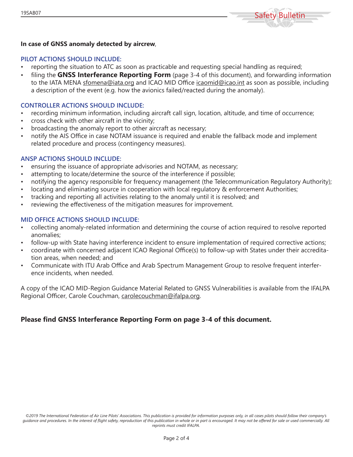

#### **In case of GNSS anomaly detected by aircrew**,

#### **PILOT ACTIONS SHOULD INCLUDE:**

- reporting the situation to ATC as soon as practicable and requesting special handling as required;
- filing the **GNSS Interferance Reporting Form** (page 3-4 of this document), and forwarding information to the IATA MENA sfomena@iata.org and ICAO MID Office icaomid@icao.int as soon as possible, including a description of the event (e.g. how the avionics failed/reacted during the anomaly).

#### **CONTROLLER ACTIONS SHOULD INCLUDE:**

- recording minimum information, including aircraft call sign, location, altitude, and time of occurrence;
- cross check with other aircraft in the vicinity;
- broadcasting the anomaly report to other aircraft as necessary;
- notify the AIS Office in case NOTAM issuance is required and enable the fallback mode and implement related procedure and process (contingency measures).

#### **ANSP ACTIONS SHOULD INCLUDE:**

- ensuring the issuance of appropriate advisories and NOTAM, as necessary;
- attempting to locate/determine the source of the interference if possible;
- notifying the agency responsible for frequency management (the Telecommunication Regulatory Authority);
- locating and eliminating source in cooperation with local regulatory & enforcement Authorities;
- tracking and reporting all activities relating to the anomaly until it is resolved; and
- reviewing the effectiveness of the mitigation measures for improvement.

#### **MID OFFICE ACTIONS SHOULD INCLUDE:**

- collecting anomaly-related information and determining the course of action required to resolve reported anomalies;
- follow-up with State having interference incident to ensure implementation of required corrective actions;
- coordinate with concerned adjacent ICAO Regional Office(s) to follow-up with States under their accreditation areas, when needed; and
- Communicate with ITU Arab Office and Arab Spectrum Management Group to resolve frequent interference incidents, when needed.

A copy of the ICAO MID-Region Guidance Material Related to GNSS Vulnerabilities is available from the IFALPA Regional Officer, Carole Couchman, carolecouchman@ifalpa.org.

### **Please find GNSS Interferance Reporting Form on page 3-4 of this document.**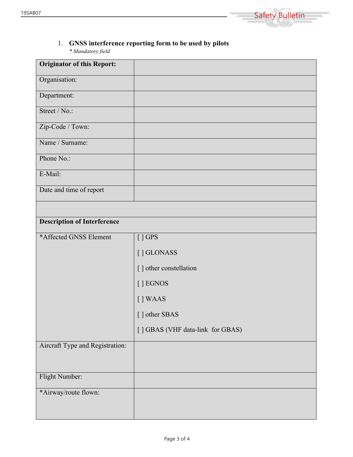

## 1. **GNSS interference reporting form to be used by pilots** *\* Mandatory field*

| <b>Originator of this Report:</b>  |  |
|------------------------------------|--|
| Organisation:                      |  |
| Department:                        |  |
| Street / No.:                      |  |
| Zip-Code / Town:                   |  |
| Name / Surname:                    |  |
| Phone No.:                         |  |
| E-Mail:                            |  |
| Date and time of report            |  |
|                                    |  |
| <b>Description of Interference</b> |  |

| *Affected GNSS Element          | $[]$ GPS                         |
|---------------------------------|----------------------------------|
|                                 | [] GLONASS                       |
|                                 | [] other constellation           |
|                                 | [ ] EGNOS                        |
|                                 | [] WAAS                          |
|                                 | [] other SBAS                    |
|                                 | [] GBAS (VHF data-link for GBAS) |
| Aircraft Type and Registration: |                                  |
|                                 |                                  |
| Flight Number:                  |                                  |
| *Airway/route flown:            |                                  |
|                                 |                                  |
|                                 |                                  |